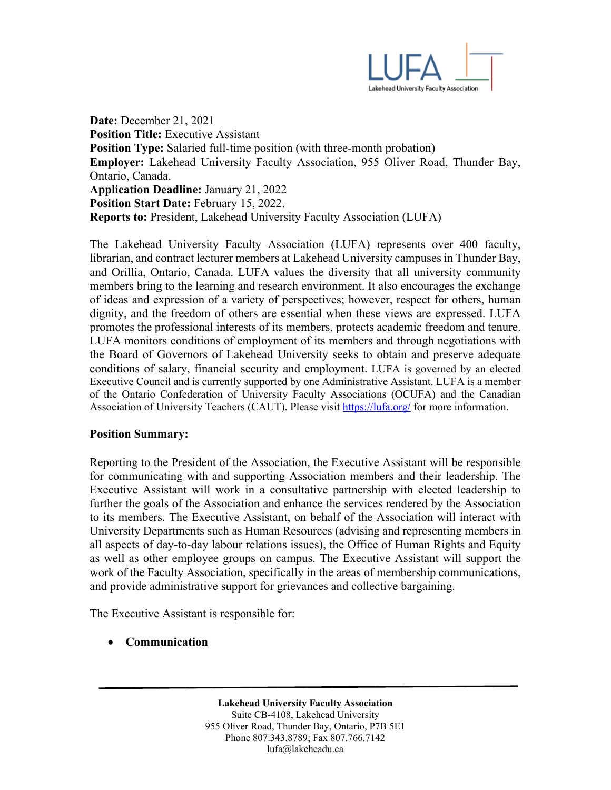

**Date:** December 21, 2021 **Position Title:** Executive Assistant **Position Type:** Salaried full-time position (with three-month probation) **Employer:** Lakehead University Faculty Association, 955 Oliver Road, Thunder Bay, Ontario, Canada. **Application Deadline:** January 21, 2022 **Position Start Date:** February 15, 2022. **Reports to:** President, Lakehead University Faculty Association (LUFA)

The Lakehead University Faculty Association (LUFA) represents over 400 faculty, librarian, and contract lecturer members at Lakehead University campuses in Thunder Bay, and Orillia, Ontario, Canada. LUFA values the diversity that all university community members bring to the learning and research environment. It also encourages the exchange of ideas and expression of a variety of perspectives; however, respect for others, human dignity, and the freedom of others are essential when these views are expressed. LUFA promotes the professional interests of its members, protects academic freedom and tenure. LUFA monitors conditions of employment of its members and through negotiations with the Board of Governors of Lakehead University seeks to obtain and preserve adequate conditions of salary, financial security and employment. LUFA is governed by an elected Executive Council and is currently supported by one Administrative Assistant. LUFA is a member of the Ontario Confederation of University Faculty Associations (OCUFA) and the Canadian Association of University Teachers (CAUT). Please visit<https://lufa.org/> for more information.

#### **Position Summary:**

Reporting to the President of the Association, the Executive Assistant will be responsible for communicating with and supporting Association members and their leadership. The Executive Assistant will work in a consultative partnership with elected leadership to further the goals of the Association and enhance the services rendered by the Association to its members. The Executive Assistant, on behalf of the Association will interact with University Departments such as Human Resources (advising and representing members in all aspects of day‐to‐day labour relations issues), the Office of Human Rights and Equity as well as other employee groups on campus. The Executive Assistant will support the work of the Faculty Association, specifically in the areas of membership communications, and provide administrative support for grievances and collective bargaining.

The Executive Assistant is responsible for:

• **Communication**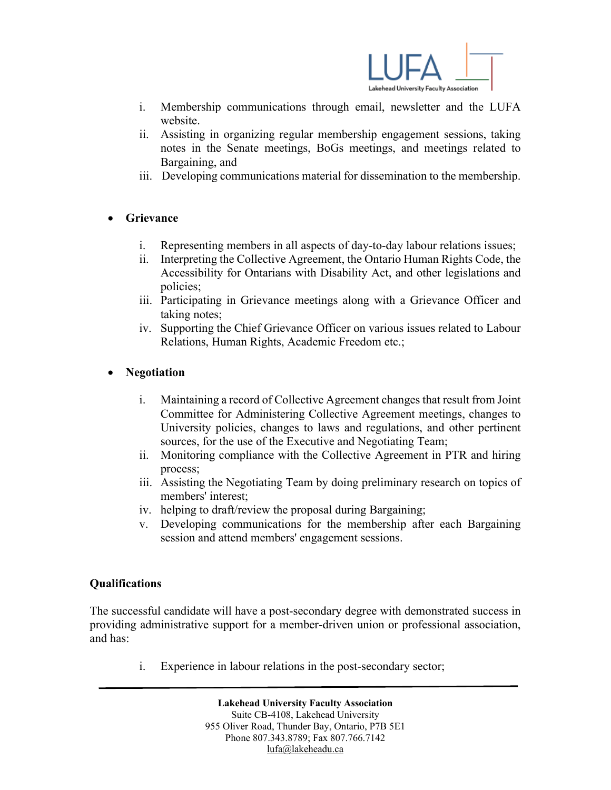

- i. Membership communications through email, newsletter and the LUFA website.
- ii. Assisting in organizing regular membership engagement sessions, taking notes in the Senate meetings, BoGs meetings, and meetings related to Bargaining, and
- iii. Developing communications material for dissemination to the membership.

# • **Grievance**

- i. Representing members in all aspects of day‐to‐day labour relations issues;
- ii. Interpreting the Collective Agreement, the Ontario Human Rights Code, the Accessibility for Ontarians with Disability Act, and other legislations and policies;
- iii. Participating in Grievance meetings along with a Grievance Officer and taking notes;
- iv. Supporting the Chief Grievance Officer on various issues related to Labour Relations, Human Rights, Academic Freedom etc.;

## • **Negotiation**

- i. Maintaining a record of Collective Agreement changes that result from Joint Committee for Administering Collective Agreement meetings, changes to University policies, changes to laws and regulations, and other pertinent sources, for the use of the Executive and Negotiating Team;
- ii. Monitoring compliance with the Collective Agreement in PTR and hiring process;
- iii. Assisting the Negotiating Team by doing preliminary research on topics of members' interest;
- iv. helping to draft/review the proposal during Bargaining;
- v. Developing communications for the membership after each Bargaining session and attend members' engagement sessions.

## **Qualifications**

The successful candidate will have a post-secondary degree with demonstrated success in providing administrative support for a member-driven union or professional association, and has:

i. Experience in labour relations in the post-secondary sector;